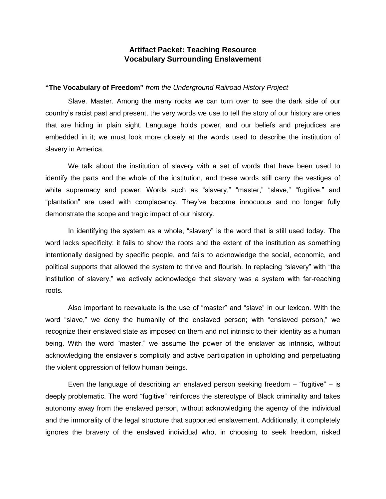## **Artifact Packet: Teaching Resource Vocabulary Surrounding Enslavement**

## **"The Vocabulary of Freedom"** *from the Underground Railroad History Project*

Slave. Master. Among the many rocks we can turn over to see the dark side of our country's racist past and present, the very words we use to tell the story of our history are ones that are hiding in plain sight. Language holds power, and our beliefs and prejudices are embedded in it; we must look more closely at the words used to describe the institution of slavery in America.

We talk about the institution of slavery with a set of words that have been used to identify the parts and the whole of the institution, and these words still carry the vestiges of white supremacy and power. Words such as "slavery," "master," "slave," "fugitive," and "plantation" are used with complacency. They've become innocuous and no longer fully demonstrate the scope and tragic impact of our history.

In identifying the system as a whole, "slavery" is the word that is still used today. The word lacks specificity; it fails to show the roots and the extent of the institution as something intentionally designed by specific people, and fails to acknowledge the social, economic, and political supports that allowed the system to thrive and flourish. In replacing "slavery" with "the institution of slavery," we actively acknowledge that slavery was a system with far-reaching roots.

Also important to reevaluate is the use of "master" and "slave" in our lexicon. With the word "slave," we deny the humanity of the enslaved person; with "enslaved person," we recognize their enslaved state as imposed on them and not intrinsic to their identity as a human being. With the word "master," we assume the power of the enslaver as intrinsic, without acknowledging the enslaver's complicity and active participation in upholding and perpetuating the violent oppression of fellow human beings.

Even the language of describing an enslaved person seeking freedom – "fugitive" – is deeply problematic. The word "fugitive" reinforces the stereotype of Black criminality and takes autonomy away from the enslaved person, without acknowledging the agency of the individual and the immorality of the legal structure that supported enslavement. Additionally, it completely ignores the bravery of the enslaved individual who, in choosing to seek freedom, risked